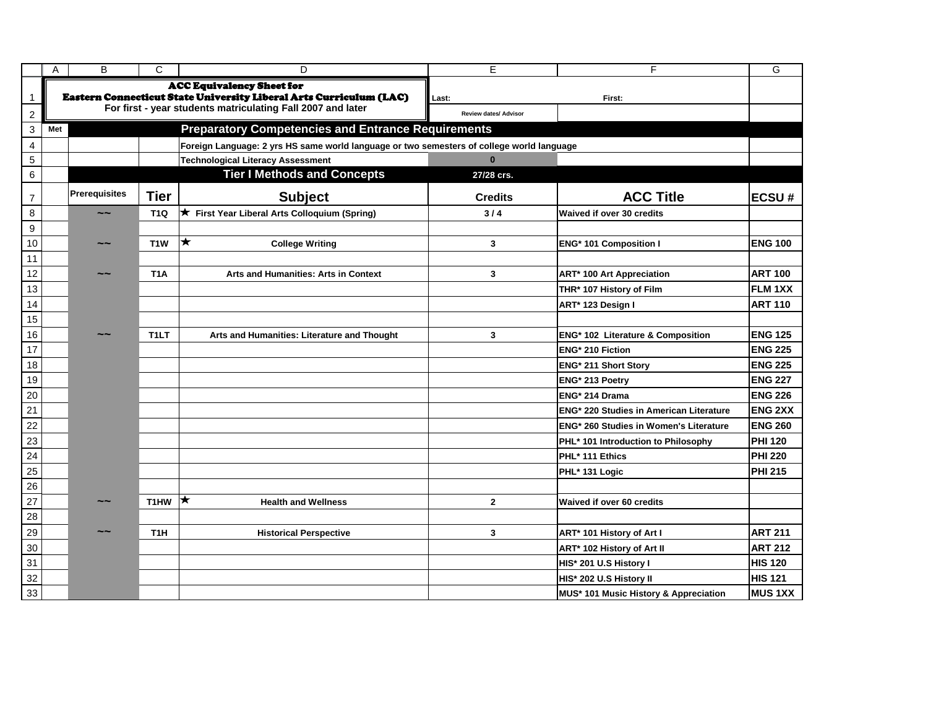|                         | Α   | B                    | $\mathsf{C}$       | D                                                                                                      | E                     | F                                              | G               |
|-------------------------|-----|----------------------|--------------------|--------------------------------------------------------------------------------------------------------|-----------------------|------------------------------------------------|-----------------|
|                         |     |                      |                    | <b>ACC Equivalency Sheet for</b><br>Eastern Connecticut State University Liberal Arts Curriculum (LAC) | Last:<br>First:       |                                                |                 |
| $\boldsymbol{2}$        |     |                      |                    | For first - year students matriculating Fall 2007 and later                                            | Review dates/ Advisor |                                                |                 |
| 3                       | Met |                      |                    | <b>Preparatory Competencies and Entrance Requirements</b>                                              |                       |                                                |                 |
| $\overline{\mathbf{4}}$ |     |                      |                    | Foreign Language: 2 yrs HS same world language or two semesters of college world language              |                       |                                                |                 |
| $\sqrt{5}$              |     |                      |                    | <b>Technological Literacy Assessment</b>                                                               | $\bf{0}$              |                                                |                 |
| $\,6$                   |     |                      |                    | <b>Tier I Methods and Concepts</b>                                                                     | 27/28 crs.            |                                                |                 |
| $\overline{7}$          |     | <b>Prerequisites</b> | <b>Tier</b>        | <b>Subject</b>                                                                                         | <b>Credits</b>        | <b>ACC Title</b>                               | <b>ECSU#</b>    |
| $\bf 8$                 |     | $\sim$ $\sim$        | <b>T1Q</b>         | ★ First Year Liberal Arts Colloquium (Spring)                                                          | $3/4$                 | <b>Waived if over 30 credits</b>               |                 |
| $\boldsymbol{9}$        |     |                      |                    |                                                                                                        |                       |                                                |                 |
| 10                      |     | $\sim$ $\sim$        | T <sub>1</sub> W   | $\bigstar$<br><b>College Writing</b>                                                                   | 3                     | <b>ENG* 101 Composition I</b>                  | <b>ENG 100</b>  |
| 11                      |     |                      |                    |                                                                                                        |                       |                                                |                 |
| 12                      |     | $\sim$ $\sim$        | T <sub>1</sub> A   | Arts and Humanities: Arts in Context                                                                   | 3                     | <b>ART* 100 Art Appreciation</b>               | <b>ART 100</b>  |
| 13                      |     |                      |                    |                                                                                                        |                       | THR* 107 History of Film                       | <b>IFLM 1XX</b> |
| 14                      |     |                      |                    |                                                                                                        |                       | ART* 123 Design I                              | <b>ART 110</b>  |
| 15                      |     |                      |                    |                                                                                                        |                       |                                                |                 |
| 16                      |     | $\sim$ $\sim$        | T <sub>1</sub> LT  | Arts and Humanities: Literature and Thought                                                            | 3                     | ENG <sup>*</sup> 102 Literature & Composition  | <b>ENG 125</b>  |
| 17                      |     |                      |                    |                                                                                                        |                       | <b>ENG* 210 Fiction</b>                        | <b>ENG 225</b>  |
| 18                      |     |                      |                    |                                                                                                        |                       | <b>ENG* 211 Short Story</b>                    | <b>ENG 225</b>  |
| 19                      |     |                      |                    |                                                                                                        |                       | ENG <sup>*</sup> 213 Poetry                    | <b>ENG 227</b>  |
| 20                      |     |                      |                    |                                                                                                        |                       | ENG <sup>*</sup> 214 Drama                     | <b>ENG 226</b>  |
| 21                      |     |                      |                    |                                                                                                        |                       | <b>ENG* 220 Studies in American Literature</b> | <b>ENG 2XX</b>  |
| 22                      |     |                      |                    |                                                                                                        |                       | <b>ENG* 260 Studies in Women's Literature</b>  | <b>ENG 260</b>  |
| 23                      |     |                      |                    |                                                                                                        |                       | PHL* 101 Introduction to Philosophy            | <b>PHI 120</b>  |
| 24                      |     |                      |                    |                                                                                                        |                       | PHL* 111 Ethics                                | <b>PHI 220</b>  |
| 25                      |     |                      |                    |                                                                                                        |                       | PHL* 131 Logic                                 | <b>PHI 215</b>  |
| 26                      |     |                      |                    |                                                                                                        |                       |                                                |                 |
| 27                      |     |                      | T1HW $\vert \star$ | <b>Health and Wellness</b>                                                                             | $\mathbf{2}$          | <b>Waived if over 60 credits</b>               |                 |
| $28\,$                  |     |                      |                    |                                                                                                        |                       |                                                |                 |
| 29                      |     | $\sim\!\sim$         | T <sub>1</sub> H   | <b>Historical Perspective</b>                                                                          | $\mathbf{3}$          | ART* 101 History of Art I                      | <b>ART 211</b>  |
| $30\,$                  |     |                      |                    |                                                                                                        |                       | ART* 102 History of Art II                     | <b>ART 212</b>  |
| 31                      |     |                      |                    |                                                                                                        |                       | HIS* 201 U.S History I                         | <b>HIS 120</b>  |
| 32                      |     |                      |                    |                                                                                                        |                       | HIS* 202 U.S History II                        | <b>HIS 121</b>  |
| 33                      |     |                      |                    |                                                                                                        |                       | MUS* 101 Music History & Appreciation          | <b>MUS 1XX</b>  |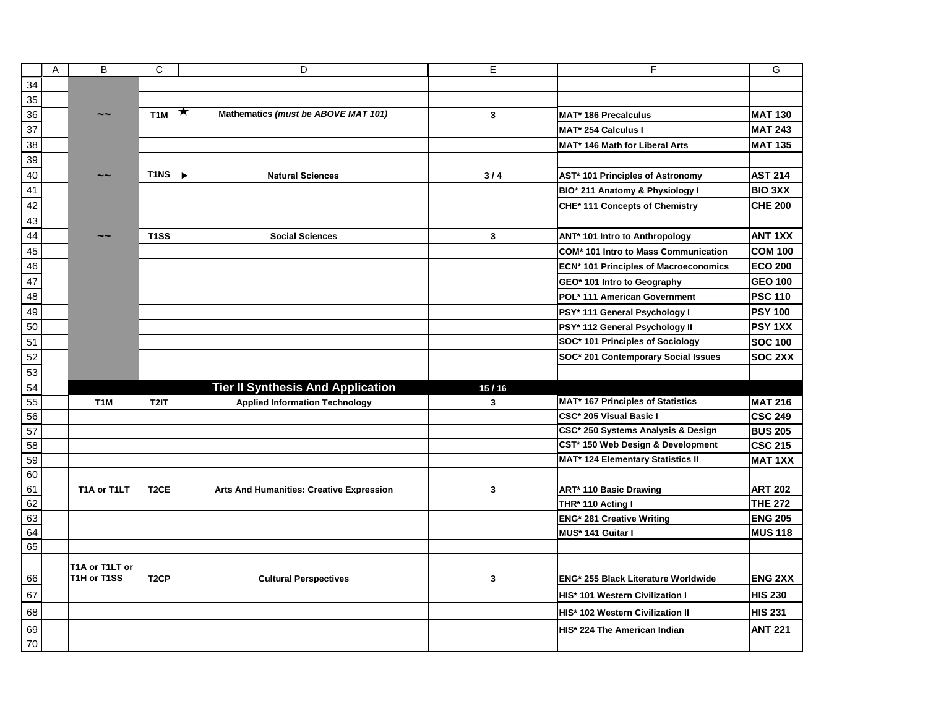|        | Α | B                | C                 | D                                                | E     | F                                             | G              |
|--------|---|------------------|-------------------|--------------------------------------------------|-------|-----------------------------------------------|----------------|
| 34     |   |                  |                   |                                                  |       |                                               |                |
| 35     |   |                  |                   |                                                  |       |                                               |                |
| 36     |   | $\sim$ $\sim$    | T <sub>1</sub> M  | ★<br>Mathematics (must be ABOVE MAT 101)         | 3     | <b>MAT* 186 Precalculus</b>                   | <b>MAT 130</b> |
| 37     |   |                  |                   |                                                  |       | MAT* 254 Calculus I                           | <b>MAT 243</b> |
| 38     |   |                  |                   |                                                  |       | MAT* 146 Math for Liberal Arts                | <b>MAT 135</b> |
| 39     |   |                  |                   |                                                  |       |                                               |                |
| 40     |   | $\sim$ $\sim$    | T <sub>1</sub> NS | $\blacktriangleright$<br><b>Natural Sciences</b> | $3/4$ | AST* 101 Principles of Astronomy              | <b>AST 214</b> |
| 41     |   |                  |                   |                                                  |       | BIO* 211 Anatomy & Physiology I               | <b>BIO 3XX</b> |
| 42     |   |                  |                   |                                                  |       | CHE* 111 Concepts of Chemistry                | <b>CHE 200</b> |
| 43     |   |                  |                   |                                                  |       |                                               |                |
| 44     |   | $\sim$ $\sim$    | T <sub>1</sub> SS | <b>Social Sciences</b>                           | 3     | ANT* 101 Intro to Anthropology                | <b>ANT 1XX</b> |
| 45     |   |                  |                   |                                                  |       | <b>COM* 101 Intro to Mass Communication</b>   | <b>COM 100</b> |
| 46     |   |                  |                   |                                                  |       | <b>ECN* 101 Principles of Macroeconomics</b>  | <b>ECO 200</b> |
| 47     |   |                  |                   |                                                  |       | GEO* 101 Intro to Geography                   | <b>GEO 100</b> |
| 48     |   |                  |                   |                                                  |       | POL* 111 American Government                  | <b>PSC 110</b> |
| 49     |   |                  |                   |                                                  |       | PSY* 111 General Psychology I                 | <b>PSY 100</b> |
| 50     |   |                  |                   |                                                  |       | PSY* 112 General Psychology II                | <b>PSY 1XX</b> |
| 51     |   |                  |                   |                                                  |       | SOC* 101 Principles of Sociology              | <b>SOC 100</b> |
| 52     |   |                  |                   |                                                  |       | SOC* 201 Contemporary Social Issues           | <b>SOC 2XX</b> |
| 53     |   |                  |                   |                                                  |       |                                               |                |
| 54     |   |                  |                   | <b>Tier II Synthesis And Application</b>         | 15/16 |                                               |                |
| 55     |   | T <sub>1</sub> M | T2IT              | <b>Applied Information Technology</b>            | 3     | <b>MAT* 167 Principles of Statistics</b>      | <b>MAT 216</b> |
| 56     |   |                  |                   |                                                  |       | CSC* 205 Visual Basic I                       | <b>CSC 249</b> |
| 57     |   |                  |                   |                                                  |       | CSC* 250 Systems Analysis & Design            | <b>BUS 205</b> |
| 58     |   |                  |                   |                                                  |       | CST <sup>*</sup> 150 Web Design & Development | <b>CSC 215</b> |
| 59     |   |                  |                   |                                                  |       | <b>MAT* 124 Elementary Statistics II</b>      | <b>MAT 1XX</b> |
| 60     |   |                  |                   |                                                  |       |                                               |                |
| 61     |   | T1A or T1LT      | T <sub>2</sub> CE | <b>Arts And Humanities: Creative Expression</b>  | 3     | <b>ART* 110 Basic Drawing</b>                 | <b>ART 202</b> |
| 62     |   |                  |                   |                                                  |       | THR* 110 Acting I                             | <b>THE 272</b> |
| 63     |   |                  |                   |                                                  |       | <b>ENG* 281 Creative Writing</b>              | <b>ENG 205</b> |
| 64     |   |                  |                   |                                                  |       | MUS* 141 Guitar I                             | <b>MUS 118</b> |
| 65     |   |                  |                   |                                                  |       |                                               |                |
|        |   | T1A or T1LT or   |                   |                                                  |       |                                               |                |
| 66     |   | T1H or T1SS      | T <sub>2</sub> CP | <b>Cultural Perspectives</b>                     | 3     | ENG* 255 Black Literature Worldwide           | <b>ENG 2XX</b> |
| 67     |   |                  |                   |                                                  |       | HIS* 101 Western Civilization I               | <b>HIS 230</b> |
| 68     |   |                  |                   |                                                  |       | HIS* 102 Western Civilization II              | <b>HIS 231</b> |
| 69     |   |                  |                   |                                                  |       | HIS* 224 The American Indian                  | <b>ANT 221</b> |
| $70\,$ |   |                  |                   |                                                  |       |                                               |                |